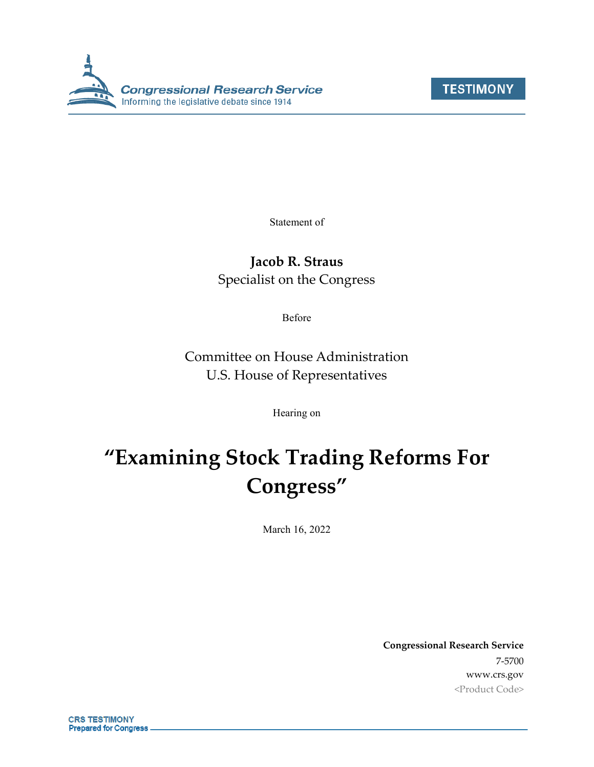



Statement of

### **Jacob R. Straus**

Specialist on the Congress

Before

Committee on House Administration U.S. House of Representatives

Hearing on

# **"Examining Stock Trading Reforms For Congress"**

March 16, 2022

**Congressional Research Service** 7-5700 www.crs.gov <Product Code>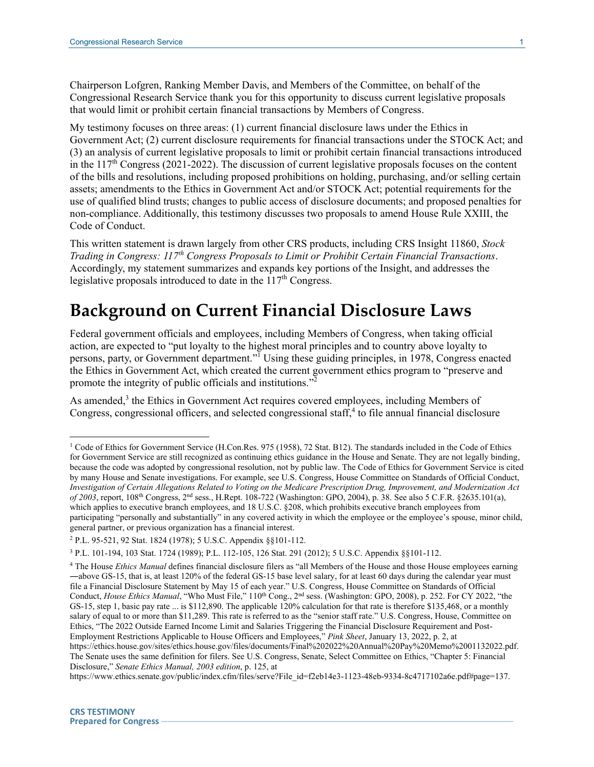Chairperson Lofgren, Ranking Member Davis, and Members of the Committee, on behalf of the Congressional Research Service thank you for this opportunity to discuss current legislative proposals that would limit or prohibit certain financial transactions by Members of Congress.

My testimony focuses on three areas: (1) current financial disclosure laws under the Ethics in Government Act; (2) current disclosure requirements for financial transactions under the STOCK Act; and (3) an analysis of current legislative proposals to limit or prohibit certain financial transactions introduced in the  $117<sup>th</sup>$  Congress (2021-2022). The discussion of current legislative proposals focuses on the content of the bills and resolutions, including proposed prohibitions on holding, purchasing, and/or selling certain assets; amendments to the Ethics in Government Act and/or STOCK Act; potential requirements for the use of qualified blind trusts; changes to public access of disclosure documents; and proposed penalties for non-compliance. Additionally, this testimony discusses two proposals to amend House Rule XXIII, the Code of Conduct.

This written statement is drawn largely from other CRS products, including CRS Insight 11860, *Stock Trading in Congress: 117th Congress Proposals to Limit or Prohibit Certain Financial Transactions*. Accordingly, my statement summarizes and expands key portions of the Insight, and addresses the legislative proposals introduced to date in the  $117<sup>th</sup>$  Congress.

# **Background on Current Financial Disclosure Laws**

Federal government officials and employees, including Members of Congress, when taking official action, are expected to "put loyalty to the highest moral principles and to country above loyalty to persons, party, or Government department."<sup>I</sup> Using these guiding principles, in 1978, Congress enacted the Ethics in Government Act, which created the current government ethics program to "preserve and promote the integrity of public officials and institutions."<sup>2</sup>

As amended,<sup>3</sup> the Ethics in Government Act requires covered employees, including Members of Congress, congressional officers, and selected congressional staff,<sup>4</sup> to file annual financial disclosure

<sup>&</sup>lt;sup>1</sup> Code of Ethics for Government Service (H.Con.Res. 975 (1958), 72 Stat. B12). The standards included in the Code of Ethics for Government Service are still recognized as continuing ethics guidance in the House and Senate. They are not legally binding, because the code was adopted by congressional resolution, not by public law. The Code of Ethics for Government Service is cited by many House and Senate investigations. For example, see U.S. Congress, House Committee on Standards of Official Conduct, *Investigation of Certain Allegations Related to Voting on the Medicare Prescription Drug, Improvement, and Modernization Act of 2003*, report, 108th Congress, 2nd sess., H.Rept. 108-722 (Washington: GPO, 2004), p. 38. See also 5 C.F.R. §2635.101(a), which applies to executive branch employees, and 18 U.S.C. §208, which prohibits executive branch employees from participating "personally and substantially" in any covered activity in which the employee or the employee's spouse, minor child, general partner, or previous organization has a financial interest.

<sup>2</sup> P.L. 95-521, 92 Stat. 1824 (1978); 5 U.S.C. Appendix §§101-112.

<sup>3</sup> P.L. 101-194, 103 Stat. 1724 (1989); P.L. 112-105, 126 Stat. 291 (2012); 5 U.S.C. Appendix §§101-112.

<sup>4</sup> The House *Ethics Manual* defines financial disclosure filers as "all Members of the House and those House employees earning ―above GS-15, that is, at least 120% of the federal GS-15 base level salary, for at least 60 days during the calendar year must file a Financial Disclosure Statement by May 15 of each year." U.S. Congress, House Committee on Standards of Official Conduct, *House Ethics Manual*, "Who Must File," 110th Cong., 2nd sess. (Washington: GPO, 2008), p. 252. For CY 2022, "the GS-15, step 1, basic pay rate ... is \$112,890. The applicable 120% calculation for that rate is therefore \$135,468, or a monthly salary of equal to or more than \$11,289. This rate is referred to as the "senior staff rate." U.S. Congress, House, Committee on Ethics, "The 2022 Outside Earned Income Limit and Salaries Triggering the Financial Disclosure Requirement and Post-Employment Restrictions Applicable to House Officers and Employees," *Pink Sheet*, January 13, 2022, p. 2, at https://ethics.house.gov/sites/ethics.house.gov/files/documents/Final%202022%20Annual%20Pay%20Memo%2001132022.pdf. The Senate uses the same definition for filers. See U.S. Congress, Senate, Select Committee on Ethics, "Chapter 5: Financial Disclosure," *Senate Ethics Manual, 2003 edition*, p. 125, at

https://www.ethics.senate.gov/public/index.cfm/files/serve?File\_id=f2eb14e3-1123-48eb-9334-8c4717102a6e.pdf#page=137.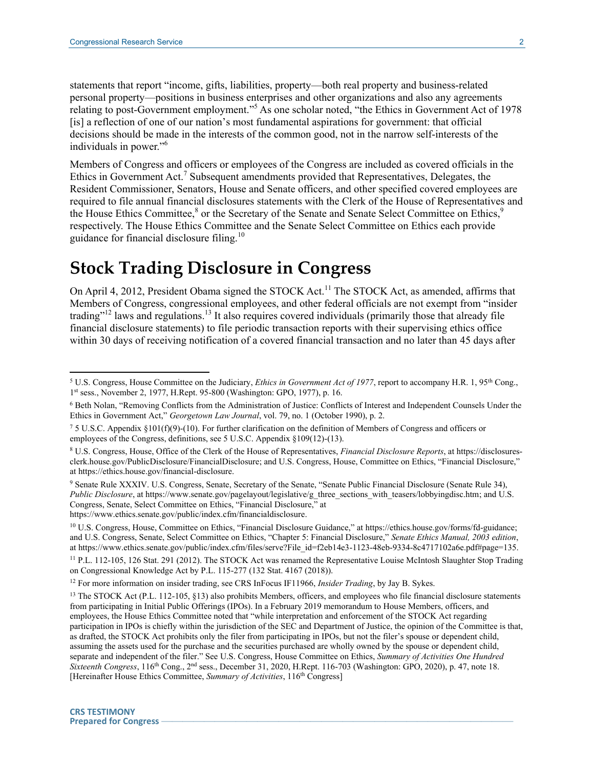statements that report "income, gifts, liabilities, property—both real property and business-related personal property—positions in business enterprises and other organizations and also any agreements relating to post-Government employment."<sup>5</sup> As one scholar noted, "the Ethics in Government Act of 1978 [is] a reflection of one of our nation's most fundamental aspirations for government: that official decisions should be made in the interests of the common good, not in the narrow self-interests of the individuals in power."<sup>6</sup>

Members of Congress and officers or employees of the Congress are included as covered officials in the Ethics in Government Act.<sup>7</sup> Subsequent amendments provided that Representatives, Delegates, the Resident Commissioner, Senators, House and Senate officers, and other specified covered employees are required to file annual financial disclosures statements with the Clerk of the House of Representatives and the House Ethics Committee,<sup>8</sup> or the Secretary of the Senate and Senate Select Committee on Ethics,<sup>9</sup> respectively. The House Ethics Committee and the Senate Select Committee on Ethics each provide guidance for financial disclosure filing.<sup>10</sup>

# **Stock Trading Disclosure in Congress**

On April 4, 2012, President Obama signed the STOCK Act.<sup>11</sup> The STOCK Act, as amended, affirms that Members of Congress, congressional employees, and other federal officials are not exempt from "insider trading"<sup>12</sup> laws and regulations.<sup>13</sup> It also requires covered individuals (primarily those that already file financial disclosure statements) to file periodic transaction reports with their supervising ethics office within 30 days of receiving notification of a covered financial transaction and no later than 45 days after

<sup>12</sup> For more information on insider trading, see CRS InFocus IF11966, *Insider Trading*, by Jay B. Sykes.

<sup>&</sup>lt;sup>5</sup> U.S. Congress, House Committee on the Judiciary, *Ethics in Government Act of 1977*, report to accompany H.R. 1, 95<sup>th</sup> Cong., 1 st sess., November 2, 1977, H.Rept. 95-800 (Washington: GPO, 1977), p. 16.

<sup>6</sup> Beth Nolan, "Removing Conflicts from the Administration of Justice: Conflicts of Interest and Independent Counsels Under the Ethics in Government Act," *Georgetown Law Journal*, vol. 79, no. 1 (October 1990), p. 2.

<sup>7</sup> 5 U.S.C. Appendix §101(f)(9)-(10). For further clarification on the definition of Members of Congress and officers or employees of the Congress, definitions, see 5 U.S.C. Appendix §109(12)-(13).

<sup>8</sup> U.S. Congress, House, Office of the Clerk of the House of Representatives, *Financial Disclosure Reports*, at https://disclosuresclerk.house.gov/PublicDisclosure/FinancialDisclosure; and U.S. Congress, House, Committee on Ethics, "Financial Disclosure," at https://ethics.house.gov/financial-disclosure.

<sup>&</sup>lt;sup>9</sup> Senate Rule XXXIV. U.S. Congress, Senate, Secretary of the Senate, "Senate Public Financial Disclosure (Senate Rule 34), *Public Disclosure*, at https://www.senate.gov/pagelayout/legislative/g\_three\_sections\_with\_teasers/lobbyingdisc.htm; and U.S. Congress, Senate, Select Committee on Ethics, "Financial Disclosure," at https://www.ethics.senate.gov/public/index.cfm/financialdisclosure.

<sup>10</sup> U.S. Congress, House, Committee on Ethics, "Financial Disclosure Guidance," at https://ethics.house.gov/forms/fd-guidance; and U.S. Congress, Senate, Select Committee on Ethics, "Chapter 5: Financial Disclosure," *Senate Ethics Manual, 2003 edition*, at https://www.ethics.senate.gov/public/index.cfm/files/serve?File\_id=f2eb14e3-1123-48eb-9334-8c4717102a6e.pdf#page=135.

<sup>11</sup> P.L. 112-105, 126 Stat. 291 (2012). The STOCK Act was renamed the Representative Louise McIntosh Slaughter Stop Trading on Congressional Knowledge Act by P.L. 115-277 (132 Stat. 4167 (2018)).

 $13$  The STOCK Act (P.L. 112-105, §13) also prohibits Members, officers, and employees who file financial disclosure statements from participating in Initial Public Offerings (IPOs). In a February 2019 memorandum to House Members, officers, and employees, the House Ethics Committee noted that "while interpretation and enforcement of the STOCK Act regarding participation in IPOs is chiefly within the jurisdiction of the SEC and Department of Justice, the opinion of the Committee is that, as drafted, the STOCK Act prohibits only the filer from participating in IPOs, but not the filer's spouse or dependent child, assuming the assets used for the purchase and the securities purchased are wholly owned by the spouse or dependent child, separate and independent of the filer." See U.S. Congress, House Committee on Ethics, *Summary of Activities One Hundred Sixteenth Congress*, 116<sup>th</sup> Cong., 2<sup>nd</sup> sess., December 31, 2020, H.Rept. 116-703 (Washington: GPO, 2020), p. 47, note 18. [Hereinafter House Ethics Committee, *Summary of Activities*, 116<sup>th</sup> Congress]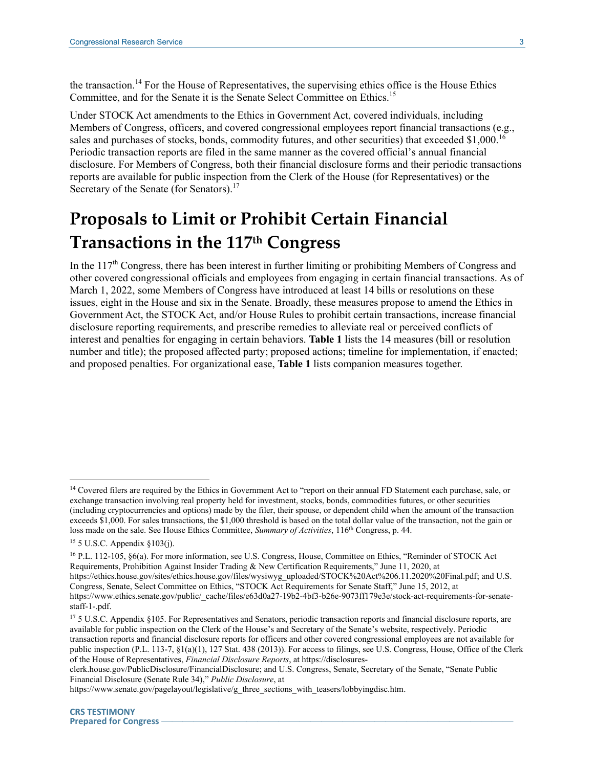the transaction.<sup>14</sup> For the House of Representatives, the supervising ethics office is the House Ethics Committee, and for the Senate it is the Senate Select Committee on Ethics.<sup>15</sup>

Under STOCK Act amendments to the Ethics in Government Act, covered individuals, including Members of Congress, officers, and covered congressional employees report financial transactions (e.g., sales and purchases of stocks, bonds, commodity futures, and other securities) that exceeded \$1,000.<sup>16</sup> Periodic transaction reports are filed in the same manner as the covered official's annual financial disclosure. For Members of Congress, both their financial disclosure forms and their periodic transactions reports are available for public inspection from the Clerk of the House (for Representatives) or the Secretary of the Senate (for Senators).<sup>17</sup>

# **Proposals to Limit or Prohibit Certain Financial Transactions in the 117th Congress**

In the 117<sup>th</sup> Congress, there has been interest in further limiting or prohibiting Members of Congress and other covered congressional officials and employees from engaging in certain financial transactions. As of March 1, 2022, some Members of Congress have introduced at least 14 bills or resolutions on these issues, eight in the House and six in the Senate. Broadly, these measures propose to amend the Ethics in Government Act, the STOCK Act, and/or House Rules to prohibit certain transactions, increase financial disclosure reporting requirements, and prescribe remedies to alleviate real or perceived conflicts of interest and penalties for engaging in certain behaviors. **[Table 1](#page-4-0)** lists the 14 measures (bill or resolution number and title); the proposed affected party; proposed actions; timeline for implementation, if enacted; and proposed penalties. For organizational ease, **[Table 1](#page-4-0)** lists companion measures together.

<sup>&</sup>lt;sup>14</sup> Covered filers are required by the Ethics in Government Act to "report on their annual FD Statement each purchase, sale, or exchange transaction involving real property held for investment, stocks, bonds, commodities futures, or other securities (including cryptocurrencies and options) made by the filer, their spouse, or dependent child when the amount of the transaction exceeds \$1,000. For sales transactions, the \$1,000 threshold is based on the total dollar value of the transaction, not the gain or loss made on the sale. See House Ethics Committee, *Summary of Activities*, 116th Congress, p. 44.

<sup>15</sup> 5 U.S.C. Appendix §103(j).

<sup>&</sup>lt;sup>16</sup> P.L. 112-105, §6(a). For more information, see U.S. Congress, House, Committee on Ethics, "Reminder of STOCK Act Requirements, Prohibition Against Insider Trading & New Certification Requirements," June 11, 2020, at https://ethics.house.gov/sites/ethics.house.gov/files/wysiwyg\_uploaded/STOCK%20Act%206.11.2020%20Final.pdf; and U.S. Congress, Senate, Select Committee on Ethics, "STOCK Act Requirements for Senate Staff," June 15, 2012, at https://www.ethics.senate.gov/public/\_cache/files/e63d0a27-19b2-4bf3-b26e-9073ff179e3e/stock-act-requirements-for-senatestaff-1-.pdf.

<sup>&</sup>lt;sup>17</sup> 5 U.S.C. Appendix §105. For Representatives and Senators, periodic transaction reports and financial disclosure reports, are available for public inspection on the Clerk of the House's and Secretary of the Senate's website, respectively. Periodic transaction reports and financial disclosure reports for officers and other covered congressional employees are not available for public inspection (P.L. 113-7, §1(a)(1), 127 Stat. 438 (2013)). For access to filings, see U.S. Congress, House, Office of the Clerk of the House of Representatives, *Financial Disclosure Reports*, at https://disclosures-

clerk.house.gov/PublicDisclosure/FinancialDisclosure; and U.S. Congress, Senate, Secretary of the Senate, "Senate Public Financial Disclosure (Senate Rule 34)," *Public Disclosure*, at

https://www.senate.gov/pagelayout/legislative/g\_three\_sections\_with\_teasers/lobbyingdisc.htm.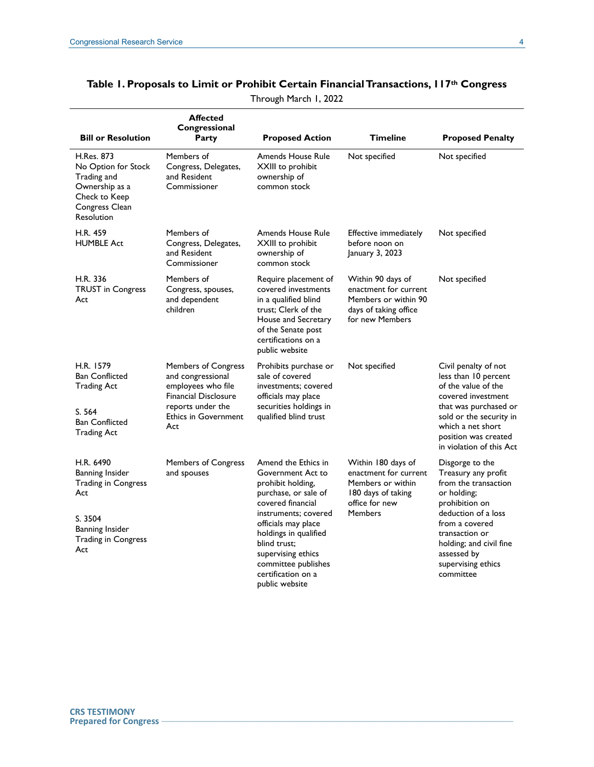|                                                                                                                                      | <b>Affected</b><br>Congressional                                                                                                                                |                                                                                                                                                                                                                                                                                         |                                                                                                                            |                                                                                                                                                                                                                                         |
|--------------------------------------------------------------------------------------------------------------------------------------|-----------------------------------------------------------------------------------------------------------------------------------------------------------------|-----------------------------------------------------------------------------------------------------------------------------------------------------------------------------------------------------------------------------------------------------------------------------------------|----------------------------------------------------------------------------------------------------------------------------|-----------------------------------------------------------------------------------------------------------------------------------------------------------------------------------------------------------------------------------------|
| <b>Bill or Resolution</b>                                                                                                            | Party                                                                                                                                                           | <b>Proposed Action</b>                                                                                                                                                                                                                                                                  | <b>Timeline</b>                                                                                                            | <b>Proposed Penalty</b>                                                                                                                                                                                                                 |
| <b>H.Res. 873</b><br>No Option for Stock<br>Trading and<br>Ownership as a<br>Check to Keep<br>Congress Clean<br>Resolution           | Members of<br>Congress, Delegates,<br>and Resident<br>Commissioner                                                                                              | <b>Amends House Rule</b><br>XXIII to prohibit<br>ownership of<br>common stock                                                                                                                                                                                                           | Not specified                                                                                                              | Not specified                                                                                                                                                                                                                           |
| H.R. 459<br><b>HUMBLE Act</b>                                                                                                        | Members of<br>Congress, Delegates,<br>and Resident<br>Commissioner                                                                                              | Amends House Rule<br>XXIII to prohibit<br>ownership of<br>common stock                                                                                                                                                                                                                  | Effective immediately<br>before noon on<br>January 3, 2023                                                                 | Not specified                                                                                                                                                                                                                           |
| H.R. 336<br><b>TRUST</b> in Congress<br>Act                                                                                          | Members of<br>Congress, spouses,<br>and dependent<br>children                                                                                                   | Require placement of<br>covered investments<br>in a qualified blind<br>trust; Clerk of the<br>House and Secretary<br>of the Senate post<br>certifications on a<br>public website                                                                                                        | Within 90 days of<br>enactment for current<br>Members or within 90<br>days of taking office<br>for new Members             | Not specified                                                                                                                                                                                                                           |
| H.R. 1579<br><b>Ban Conflicted</b><br><b>Trading Act</b><br>S. 564<br><b>Ban Conflicted</b><br><b>Trading Act</b>                    | <b>Members of Congress</b><br>and congressional<br>employees who file<br><b>Financial Disclosure</b><br>reports under the<br><b>Ethics in Government</b><br>Act | Prohibits purchase or<br>sale of covered<br>investments; covered<br>officials may place<br>securities holdings in<br>qualified blind trust                                                                                                                                              | Not specified                                                                                                              | Civil penalty of not<br>less than 10 percent<br>of the value of the<br>covered investment<br>that was purchased or<br>sold or the security in<br>which a net short<br>position was created<br>in violation of this Act                  |
| H.R. 6490<br>Banning Insider<br><b>Trading in Congress</b><br>Act<br>S. 3504<br>Banning Insider<br><b>Trading in Congress</b><br>Act | Members of Congress<br>and spouses                                                                                                                              | Amend the Ethics in<br>Government Act to<br>prohibit holding,<br>purchase, or sale of<br>covered financial<br>instruments: covered<br>officials may place<br>holdings in qualified<br>blind trust;<br>supervising ethics<br>committee publishes<br>certification on a<br>public website | Within 180 days of<br>enactment for current<br>Members or within<br>180 days of taking<br>office for new<br><b>Members</b> | Disgorge to the<br>Treasury any profit<br>from the transaction<br>or holding;<br>prohibition on<br>deduction of a loss<br>from a covered<br>transaction or<br>holding; and civil fine<br>assessed by<br>supervising ethics<br>committee |

#### <span id="page-4-0"></span>**Table 1. Proposals to Limit or Prohibit Certain Financial Transactions, 117th Congress**

Through March 1, 2022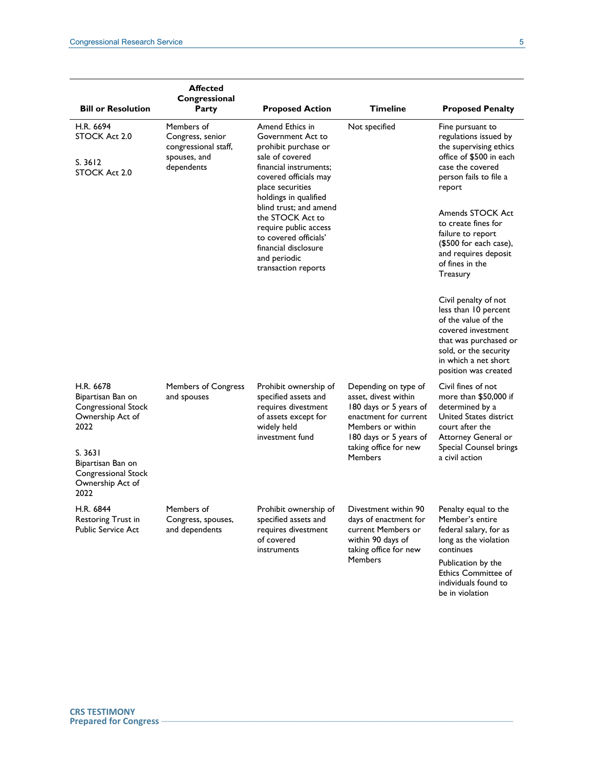| <b>Bill or Resolution</b>                                                                                                                                            | <b>Affected</b><br>Congressional<br>Party                                            | <b>Proposed Action</b>                                                                                                                                                                                                                                                                                                                         | Timeline                                                                                                                                                                                  | <b>Proposed Penalty</b>                                                                                                                                                                                                                                                                                 |
|----------------------------------------------------------------------------------------------------------------------------------------------------------------------|--------------------------------------------------------------------------------------|------------------------------------------------------------------------------------------------------------------------------------------------------------------------------------------------------------------------------------------------------------------------------------------------------------------------------------------------|-------------------------------------------------------------------------------------------------------------------------------------------------------------------------------------------|---------------------------------------------------------------------------------------------------------------------------------------------------------------------------------------------------------------------------------------------------------------------------------------------------------|
| H.R. 6694<br>STOCK Act 2.0<br>S.3612<br>STOCK Act 2.0                                                                                                                | Members of<br>Congress, senior<br>congressional staff,<br>spouses, and<br>dependents | Amend Ethics in<br>Government Act to<br>prohibit purchase or<br>sale of covered<br>financial instruments:<br>covered officials may<br>place securities<br>holdings in qualified<br>blind trust; and amend<br>the STOCK Act to<br>require public access<br>to covered officials'<br>financial disclosure<br>and periodic<br>transaction reports | Not specified                                                                                                                                                                             | Fine pursuant to<br>regulations issued by<br>the supervising ethics<br>office of \$500 in each<br>case the covered<br>person fails to file a<br>report<br>Amends STOCK Act<br>to create fines for<br>failure to report<br>(\$500 for each case),<br>and requires deposit<br>of fines in the<br>Treasury |
|                                                                                                                                                                      |                                                                                      |                                                                                                                                                                                                                                                                                                                                                |                                                                                                                                                                                           | Civil penalty of not<br>less than 10 percent<br>of the value of the<br>covered investment<br>that was purchased or<br>sold, or the security<br>in which a net short<br>position was created                                                                                                             |
| H.R. 6678<br>Bipartisan Ban on<br>Congressional Stock<br>Ownership Act of<br>2022<br>S. 3631<br>Bipartisan Ban on<br>Congressional Stock<br>Ownership Act of<br>2022 | <b>Members of Congress</b><br>and spouses                                            | Prohibit ownership of<br>specified assets and<br>requires divestment<br>of assets except for<br>widely held<br>investment fund                                                                                                                                                                                                                 | Depending on type of<br>asset, divest within<br>180 days or 5 years of<br>enactment for current<br>Members or within<br>180 days or 5 years of<br>taking office for new<br><b>Members</b> | Civil fines of not<br>more than \$50,000 if<br>determined by a<br>United States district<br>court after the<br>Attorney General or<br>Special Counsel brings<br>a civil action                                                                                                                          |
| H.R. 6844<br>Restoring Trust in<br>Public Service Act                                                                                                                | Members of<br>Congress, spouses,<br>and dependents                                   | Prohibit ownership of<br>specified assets and<br>requires divestment<br>of covered<br>instruments                                                                                                                                                                                                                                              | Divestment within 90<br>days of enactment for<br>current Members or<br>within 90 days of<br>taking office for new<br><b>Members</b>                                                       | Penalty equal to the<br>Member's entire<br>federal salary, for as<br>long as the violation<br>continues<br>Publication by the<br><b>Ethics Committee of</b><br>individuals found to                                                                                                                     |

be in violation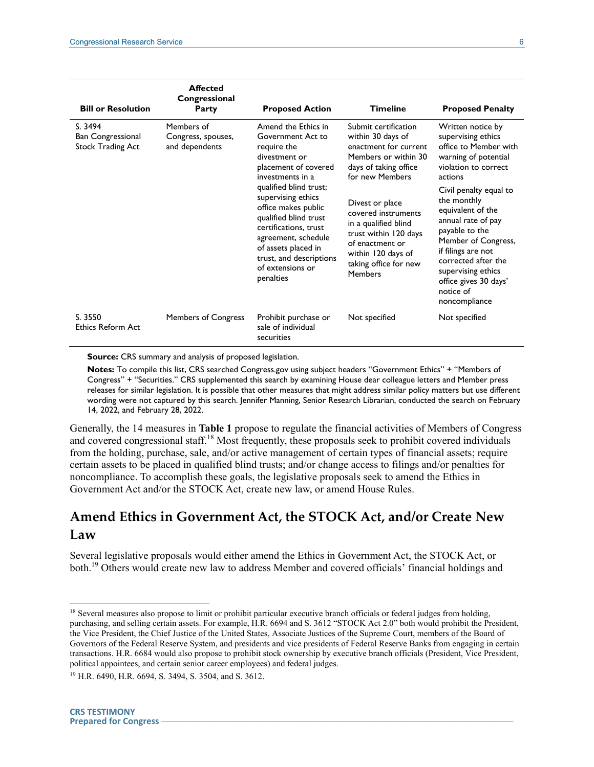| <b>Bill or Resolution</b>                                       | <b>Affected</b><br>Congressional<br>Party          | <b>Proposed Action</b>                                                                                                                                                                                                                                                                                                                                  | <b>Timeline</b>                                                                                                                                                                                                                                                                                                       | <b>Proposed Penalty</b>                                                                                                                                                                                                                                                                                                                                                            |
|-----------------------------------------------------------------|----------------------------------------------------|---------------------------------------------------------------------------------------------------------------------------------------------------------------------------------------------------------------------------------------------------------------------------------------------------------------------------------------------------------|-----------------------------------------------------------------------------------------------------------------------------------------------------------------------------------------------------------------------------------------------------------------------------------------------------------------------|------------------------------------------------------------------------------------------------------------------------------------------------------------------------------------------------------------------------------------------------------------------------------------------------------------------------------------------------------------------------------------|
| S. 3494<br><b>Ban Congressional</b><br><b>Stock Trading Act</b> | Members of<br>Congress, spouses,<br>and dependents | Amend the Ethics in<br>Government Act to<br>require the<br>divestment or<br>placement of covered<br>investments in a<br>qualified blind trust;<br>supervising ethics<br>office makes public<br>qualified blind trust<br>certifications, trust<br>agreement, schedule<br>of assets placed in<br>trust, and descriptions<br>of extensions or<br>penalties | Submit certification<br>within 30 days of<br>enactment for current<br>Members or within 30<br>days of taking office<br>for new Members<br>Divest or place<br>covered instruments<br>in a qualified blind<br>trust within 120 days<br>of enactment or<br>within 120 days of<br>taking office for new<br><b>Members</b> | Written notice by<br>supervising ethics<br>office to Member with<br>warning of potential<br>violation to correct<br>actions<br>Civil penalty equal to<br>the monthly<br>equivalent of the<br>annual rate of pay<br>payable to the<br>Member of Congress,<br>if filings are not<br>corrected after the<br>supervising ethics<br>office gives 30 days'<br>notice of<br>noncompliance |
| S. 3550<br>Ethics Reform Act                                    | <b>Members of Congress</b>                         | Prohibit purchase or<br>sale of individual<br>securities                                                                                                                                                                                                                                                                                                | Not specified                                                                                                                                                                                                                                                                                                         | Not specified                                                                                                                                                                                                                                                                                                                                                                      |

**Source:** CRS summary and analysis of proposed legislation.

**Notes:** To compile this list, CRS searched Congress.gov using subject headers "Government Ethics" + "Members of Congress" + "Securities." CRS supplemented this search by examining House dear colleague letters and Member press releases for similar legislation. It is possible that other measures that might address similar policy matters but use different wording were not captured by this search. Jennifer Manning, Senior Research Librarian, conducted the search on February 14, 2022, and February 28, 2022.

Generally, the 14 measures in **[Table 1](#page-4-0)** propose to regulate the financial activities of Members of Congress and covered congressional staff.<sup>18</sup> Most frequently, these proposals seek to prohibit covered individuals from the holding, purchase, sale, and/or active management of certain types of financial assets; require certain assets to be placed in qualified blind trusts; and/or change access to filings and/or penalties for noncompliance. To accomplish these goals, the legislative proposals seek to amend the Ethics in Government Act and/or the STOCK Act, create new law, or amend House Rules.

#### **Amend Ethics in Government Act, the STOCK Act, and/or Create New Law**

Several legislative proposals would either amend the Ethics in Government Act, the STOCK Act, or both.<sup>19</sup> Others would create new law to address Member and covered officials' financial holdings and

<sup>&</sup>lt;sup>18</sup> Several measures also propose to limit or prohibit particular executive branch officials or federal judges from holding, purchasing, and selling certain assets. For example, H.R. 6694 and S. 3612 "STOCK Act 2.0" both would prohibit the President, the Vice President, the Chief Justice of the United States, Associate Justices of the Supreme Court, members of the Board of Governors of the Federal Reserve System, and presidents and vice presidents of Federal Reserve Banks from engaging in certain transactions. H.R. 6684 would also propose to prohibit stock ownership by executive branch officials (President, Vice President, political appointees, and certain senior career employees) and federal judges.

<sup>19</sup> H.R. 6490, H.R. 6694, S. 3494, S. 3504, and S. 3612.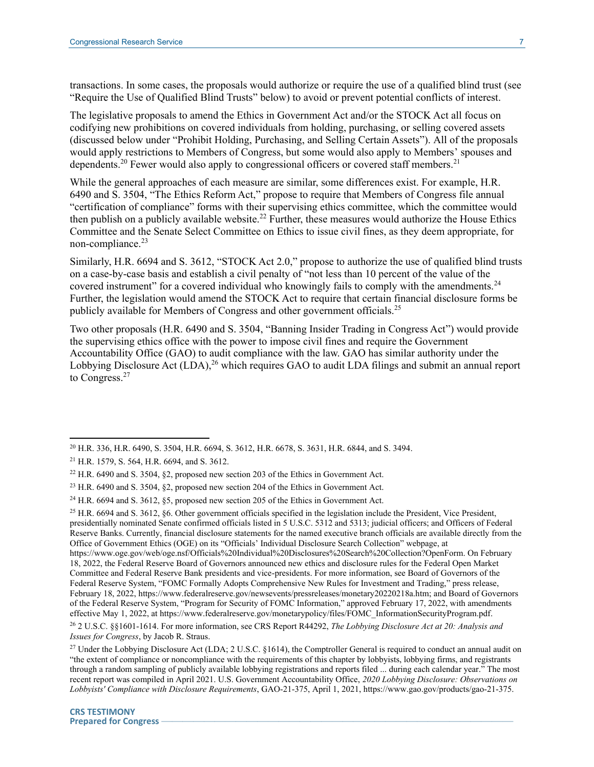transactions. In some cases, the proposals would authorize or require the use of a qualified blind trust (see "Require the Use of Qualified Blind Trusts" below) to avoid or prevent potential conflicts of interest.

The legislative proposals to amend the Ethics in Government Act and/or the STOCK Act all focus on codifying new prohibitions on covered individuals from holding, purchasing, or selling covered assets (discussed below under ["Prohibit Holding, Purchasing, and Selling Certain Assets"](#page-8-0)). All of the proposals would apply restrictions to Members of Congress, but some would also apply to Members' spouses and dependents.<sup>20</sup> Fewer would also apply to congressional officers or covered staff members.<sup>21</sup>

While the general approaches of each measure are similar, some differences exist. For example, H.R. 6490 and S. 3504, "The Ethics Reform Act," propose to require that Members of Congress file annual "certification of compliance" forms with their supervising ethics committee, which the committee would then publish on a publicly available website.<sup>22</sup> Further, these measures would authorize the House Ethics Committee and the Senate Select Committee on Ethics to issue civil fines, as they deem appropriate, for non-compliance. $^{23}$ 

Similarly, H.R. 6694 and S. 3612, "STOCK Act 2.0," propose to authorize the use of qualified blind trusts on a case-by-case basis and establish a civil penalty of "not less than 10 percent of the value of the covered instrument" for a covered individual who knowingly fails to comply with the amendments.<sup>24</sup> Further, the legislation would amend the STOCK Act to require that certain financial disclosure forms be publicly available for Members of Congress and other government officials.<sup>25</sup>

Two other proposals (H.R. 6490 and S. 3504, "Banning Insider Trading in Congress Act") would provide the supervising ethics office with the power to impose civil fines and require the Government Accountability Office (GAO) to audit compliance with the law. GAO has similar authority under the Lobbying Disclosure Act (LDA),<sup>26</sup> which requires GAO to audit LDA filings and submit an annual report to Congress.<sup>27</sup>

<sup>20</sup> H.R. 336, H.R. 6490, S. 3504, H.R. 6694, S. 3612, H.R. 6678, S. 3631, H.R. 6844, and S. 3494.

<sup>21</sup> H.R. 1579, S. 564, H.R. 6694, and S. 3612.

<sup>22</sup> H.R. 6490 and S. 3504, §2, proposed new section 203 of the Ethics in Government Act.

<sup>23</sup> H.R. 6490 and S. 3504, §2, proposed new section 204 of the Ethics in Government Act.

<sup>24</sup> H.R. 6694 and S. 3612, §5, proposed new section 205 of the Ethics in Government Act.

 $25$  H.R. 6694 and S. 3612, §6. Other government officials specified in the legislation include the President, Vice President, presidentially nominated Senate confirmed officials listed in 5 U.S.C. 5312 and 5313; judicial officers; and Officers of Federal Reserve Banks. Currently, financial disclosure statements for the named executive branch officials are available directly from the Office of Government Ethics (OGE) on its "Officials' Individual Disclosure Search Collection" webpage, at https://www.oge.gov/web/oge.nsf/Officials%20Individual%20Disclosures%20Search%20Collection?OpenForm. On February 18, 2022, the Federal Reserve Board of Governors announced new ethics and disclosure rules for the Federal Open Market Committee and Federal Reserve Bank presidents and vice-presidents. For more information, see Board of Governors of the Federal Reserve System, "FOMC Formally Adopts Comprehensive New Rules for Investment and Trading," press release, February 18, 2022, https://www.federalreserve.gov/newsevents/pressreleases/monetary20220218a.htm; and Board of Governors of the Federal Reserve System, "Program for Security of FOMC Information," approved February 17, 2022, with amendments effective May 1, 2022, at https://www.federalreserve.gov/monetarypolicy/files/FOMC\_InformationSecurityProgram.pdf. <sup>26</sup> 2 U.S.C. §§1601-1614. For more information, see CRS Report R44292, *The Lobbying Disclosure Act at 20: Analysis and Issues for Congress*, by Jacob R. Straus.

<sup>&</sup>lt;sup>27</sup> Under the Lobbying Disclosure Act (LDA; 2 U.S.C. §1614), the Comptroller General is required to conduct an annual audit on "the extent of compliance or noncompliance with the requirements of this chapter by lobbyists, lobbying firms, and registrants through a random sampling of publicly available lobbying registrations and reports filed ... during each calendar year." The most recent report was compiled in April 2021. U.S. Government Accountability Office, *2020 Lobbying Disclosure: Observations on Lobbyists' Compliance with Disclosure Requirements*, GAO-21-375, April 1, 2021, https://www.gao.gov/products/gao-21-375.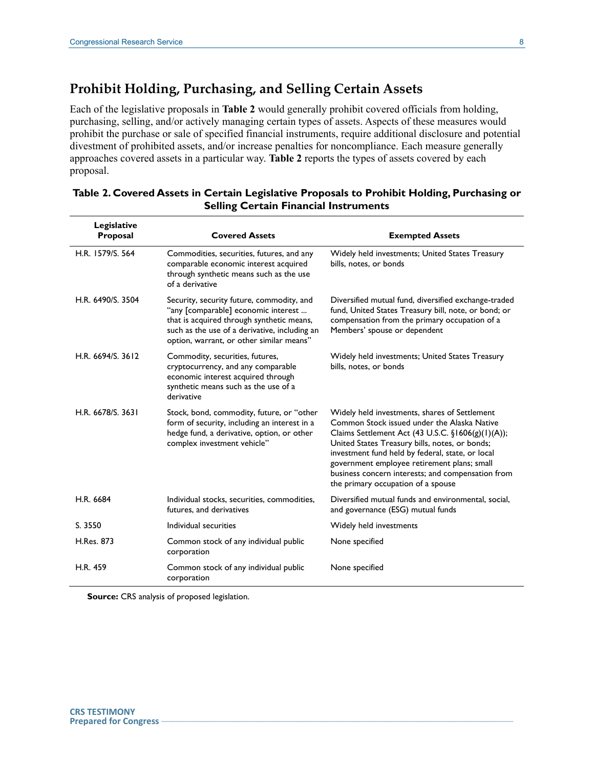#### <span id="page-8-0"></span>**Prohibit Holding, Purchasing, and Selling Certain Assets**

Each of the legislative proposals in **[Table 2](#page-8-1)** would generally prohibit covered officials from holding, purchasing, selling, and/or actively managing certain types of assets. Aspects of these measures would prohibit the purchase or sale of specified financial instruments, require additional disclosure and potential divestment of prohibited assets, and/or increase penalties for noncompliance. Each measure generally approaches covered assets in a particular way. **[Table 2](#page-8-1)** reports the types of assets covered by each proposal.

| Legislative<br>Proposal | <b>Covered Assets</b>                                                                                                                                                                                                      | <b>Exempted Assets</b>                                                                                                                                                                                                                                                                                                                                                                            |
|-------------------------|----------------------------------------------------------------------------------------------------------------------------------------------------------------------------------------------------------------------------|---------------------------------------------------------------------------------------------------------------------------------------------------------------------------------------------------------------------------------------------------------------------------------------------------------------------------------------------------------------------------------------------------|
| H.R. 1579/S. 564        | Commodities, securities, futures, and any<br>comparable economic interest acquired<br>through synthetic means such as the use<br>of a derivative                                                                           | Widely held investments; United States Treasury<br>bills, notes, or bonds                                                                                                                                                                                                                                                                                                                         |
| H.R. 6490/S. 3504       | Security, security future, commodity, and<br>"any [comparable] economic interest<br>that is acquired through synthetic means,<br>such as the use of a derivative, including an<br>option, warrant, or other similar means" | Diversified mutual fund, diversified exchange-traded<br>fund, United States Treasury bill, note, or bond; or<br>compensation from the primary occupation of a<br>Members' spouse or dependent                                                                                                                                                                                                     |
| H.R. 6694/S. 3612       | Commodity, securities, futures,<br>cryptocurrency, and any comparable<br>economic interest acquired through<br>synthetic means such as the use of a<br>derivative                                                          | Widely held investments; United States Treasury<br>bills, notes, or bonds                                                                                                                                                                                                                                                                                                                         |
| H.R. 6678/S. 3631       | Stock, bond, commodity, future, or "other<br>form of security, including an interest in a<br>hedge fund, a derivative, option, or other<br>complex investment vehicle"                                                     | Widely held investments, shares of Settlement<br>Common Stock issued under the Alaska Native<br>Claims Settlement Act (43 U.S.C. §1606(g)(1)(A));<br>United States Treasury bills, notes, or bonds;<br>investment fund held by federal, state, or local<br>government employee retirement plans; small<br>business concern interests; and compensation from<br>the primary occupation of a spouse |
| H.R. 6684               | Individual stocks, securities, commodities,<br>futures, and derivatives                                                                                                                                                    | Diversified mutual funds and environmental, social,<br>and governance (ESG) mutual funds                                                                                                                                                                                                                                                                                                          |
| S. 3550                 | Individual securities                                                                                                                                                                                                      | Widely held investments                                                                                                                                                                                                                                                                                                                                                                           |
| <b>H.Res. 873</b>       | Common stock of any individual public<br>corporation                                                                                                                                                                       | None specified                                                                                                                                                                                                                                                                                                                                                                                    |
| H.R. 459                | Common stock of any individual public<br>corporation                                                                                                                                                                       | None specified                                                                                                                                                                                                                                                                                                                                                                                    |

#### <span id="page-8-1"></span>**Table 2. Covered Assets in Certain Legislative Proposals to Prohibit Holding, Purchasing or Selling Certain Financial Instruments**

**Source:** CRS analysis of proposed legislation.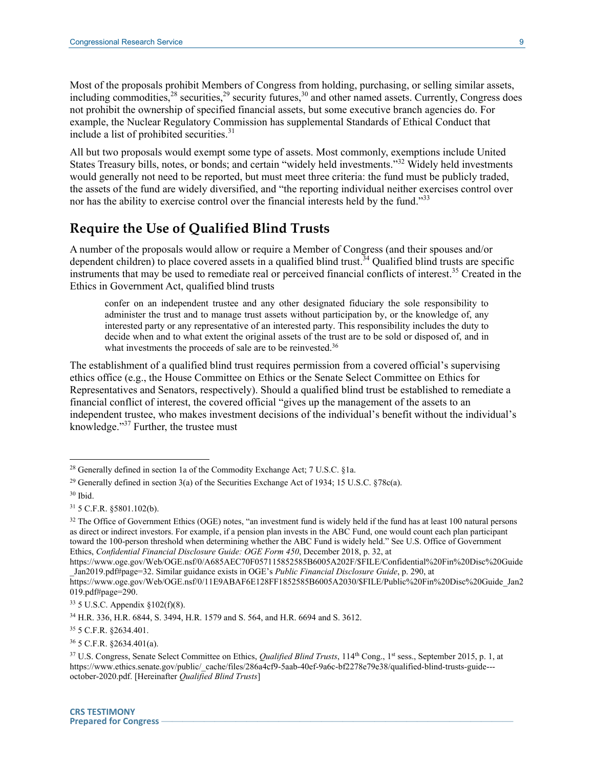Most of the proposals prohibit Members of Congress from holding, purchasing, or selling similar assets, including commodities,  $28$  securities,  $29$  security futures,  $30$  and other named assets. Currently, Congress does not prohibit the ownership of specified financial assets, but some executive branch agencies do. For example, the Nuclear Regulatory Commission has supplemental Standards of Ethical Conduct that include a list of prohibited securities.<sup>31</sup>

All but two proposals would exempt some type of assets. Most commonly, exemptions include United States Treasury bills, notes, or bonds; and certain "widely held investments."<sup>32</sup> Widely held investments would generally not need to be reported, but must meet three criteria: the fund must be publicly traded, the assets of the fund are widely diversified, and "the reporting individual neither exercises control over nor has the ability to exercise control over the financial interests held by the fund."<sup>33</sup>

#### **Require the Use of Qualified Blind Trusts**

A number of the proposals would allow or require a Member of Congress (and their spouses and/or dependent children) to place covered assets in a qualified blind trust.<sup>34</sup> Qualified blind trusts are specific instruments that may be used to remediate real or perceived financial conflicts of interest.<sup>35</sup> Created in the Ethics in Government Act, qualified blind trusts

confer on an independent trustee and any other designated fiduciary the sole responsibility to administer the trust and to manage trust assets without participation by, or the knowledge of, any interested party or any representative of an interested party. This responsibility includes the duty to decide when and to what extent the original assets of the trust are to be sold or disposed of, and in what investments the proceeds of sale are to be reinvested.<sup>36</sup>

The establishment of a qualified blind trust requires permission from a covered official's supervising ethics office (e.g., the House Committee on Ethics or the Senate Select Committee on Ethics for Representatives and Senators, respectively). Should a qualified blind trust be established to remediate a financial conflict of interest, the covered official "gives up the management of the assets to an independent trustee, who makes investment decisions of the individual's benefit without the individual's knowledge." <sup>37</sup> Further, the trustee must

 $\overline{a}$ 

https://www.oge.gov/Web/OGE.nsf/0/A685AEC70F057115852585B6005A202F/\$FILE/Confidential%20Fin%20Disc%20Guide \_Jan2019.pdf#page=32. Similar guidance exists in OGE's *Public Financial Disclosure Guide*, p. 290, at

<sup>35</sup> 5 C.F.R. §2634.401.

<sup>36</sup> 5 C.F.R. §2634.401(a).

<sup>&</sup>lt;sup>28</sup> Generally defined in section 1a of the Commodity Exchange Act; 7 U.S.C. §1a.

<sup>&</sup>lt;sup>29</sup> Generally defined in section 3(a) of the Securities Exchange Act of 1934; 15 U.S.C.  $\frac{878c(a)}{2}$ .

<sup>30</sup> Ibid.

<sup>31</sup> 5 C.F.R. §5801.102(b).

<sup>&</sup>lt;sup>32</sup> The Office of Government Ethics (OGE) notes, "an investment fund is widely held if the fund has at least 100 natural persons as direct or indirect investors. For example, if a pension plan invests in the ABC Fund, one would count each plan participant toward the 100-person threshold when determining whether the ABC Fund is widely held." See U.S. Office of Government Ethics, *Confidential Financial Disclosure Guide: OGE Form 450*, December 2018, p. 32, at

https://www.oge.gov/Web/OGE.nsf/0/11E9ABAF6E128FF1852585B6005A2030/\$FILE/Public%20Fin%20Disc%20Guide\_Jan2 019.pdf#page=290.

<sup>33</sup> 5 U.S.C. Appendix §102(f)(8).

<sup>34</sup> H.R. 336, H.R. 6844, S. 3494, H.R. 1579 and S. 564, and H.R. 6694 and S. 3612.

<sup>37</sup> U.S. Congress, Senate Select Committee on Ethics, *Qualified Blind Trusts*, 114th Cong., 1st sess., September 2015, p. 1, at https://www.ethics.senate.gov/public/\_cache/files/286a4cf9-5aab-40ef-9a6c-bf2278e79e38/qualified-blind-trusts-guide-- october-2020.pdf. [Hereinafter *Qualified Blind Trusts*]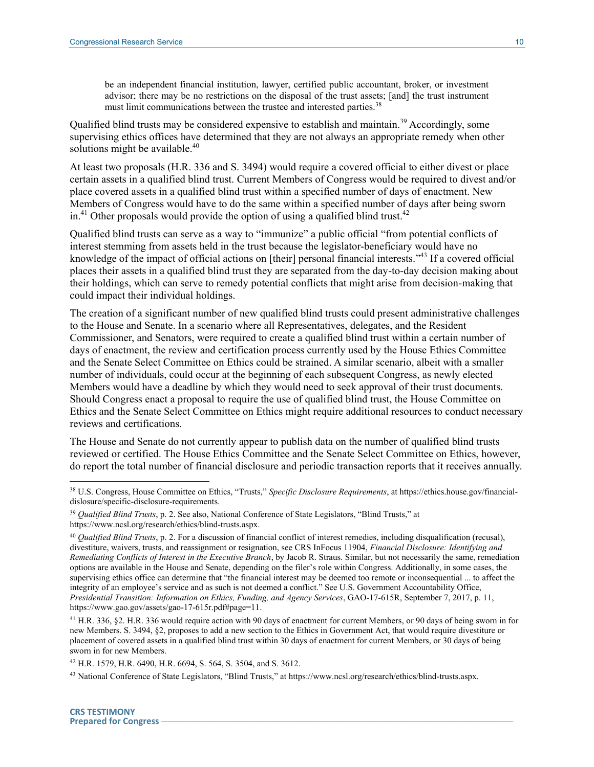be an independent financial institution, lawyer, certified public accountant, broker, or investment advisor; there may be no restrictions on the disposal of the trust assets; [and] the trust instrument must limit communications between the trustee and interested parties.<sup>38</sup>

Qualified blind trusts may be considered expensive to establish and maintain.<sup>39</sup> Accordingly, some supervising ethics offices have determined that they are not always an appropriate remedy when other solutions might be available.<sup>40</sup>

At least two proposals (H.R. 336 and S. 3494) would require a covered official to either divest or place certain assets in a qualified blind trust. Current Members of Congress would be required to divest and/or place covered assets in a qualified blind trust within a specified number of days of enactment. New Members of Congress would have to do the same within a specified number of days after being sworn in.<sup>41</sup> Other proposals would provide the option of using a qualified blind trust.<sup>42</sup>

Qualified blind trusts can serve as a way to "immunize" a public official "from potential conflicts of interest stemming from assets held in the trust because the legislator-beneficiary would have no knowledge of the impact of official actions on [their] personal financial interests."<sup>43</sup> If a covered official places their assets in a qualified blind trust they are separated from the day-to-day decision making about their holdings, which can serve to remedy potential conflicts that might arise from decision-making that could impact their individual holdings.

The creation of a significant number of new qualified blind trusts could present administrative challenges to the House and Senate. In a scenario where all Representatives, delegates, and the Resident Commissioner, and Senators, were required to create a qualified blind trust within a certain number of days of enactment, the review and certification process currently used by the House Ethics Committee and the Senate Select Committee on Ethics could be strained. A similar scenario, albeit with a smaller number of individuals, could occur at the beginning of each subsequent Congress, as newly elected Members would have a deadline by which they would need to seek approval of their trust documents. Should Congress enact a proposal to require the use of qualified blind trust, the House Committee on Ethics and the Senate Select Committee on Ethics might require additional resources to conduct necessary reviews and certifications.

The House and Senate do not currently appear to publish data on the number of qualified blind trusts reviewed or certified. The House Ethics Committee and the Senate Select Committee on Ethics, however, do report the total number of financial disclosure and periodic transaction reports that it receives annually.

<sup>38</sup> U.S. Congress, House Committee on Ethics, "Trusts," *Specific Disclosure Requirements*, at https://ethics.house.gov/financialdislosure/specific-disclosure-requirements.

<sup>39</sup> *Qualified Blind Trusts*, p. 2. See also, National Conference of State Legislators, "Blind Trusts," at

https://www.ncsl.org/research/ethics/blind-trusts.aspx.

<sup>40</sup> *Qualified Blind Trusts*, p. 2. For a discussion of financial conflict of interest remedies, including disqualification (recusal), divestiture, waivers, trusts, and reassignment or resignation, see CRS InFocus 11904, *Financial Disclosure: Identifying and Remediating Conflicts of Interest in the Executive Branch*, by Jacob R. Straus. Similar, but not necessarily the same, remediation options are available in the House and Senate, depending on the filer's role within Congress. Additionally, in some cases, the supervising ethics office can determine that "the financial interest may be deemed too remote or inconsequential ... to affect the integrity of an employee's service and as such is not deemed a conflict." See U.S. Government Accountability Office, *Presidential Transition: Information on Ethics, Funding, and Agency Services*, GAO-17-615R, September 7, 2017, p. 11, https://www.gao.gov/assets/gao-17-615r.pdf#page=11.

<sup>41</sup> H.R. 336, §2. H.R. 336 would require action with 90 days of enactment for current Members, or 90 days of being sworn in for new Members. S. 3494, §2, proposes to add a new section to the Ethics in Government Act, that would require divestiture or placement of covered assets in a qualified blind trust within 30 days of enactment for current Members, or 30 days of being sworn in for new Members.

<sup>42</sup> H.R. 1579, H.R. 6490, H.R. 6694, S. 564, S. 3504, and S. 3612.

<sup>43</sup> National Conference of State Legislators, "Blind Trusts," at https://www.ncsl.org/research/ethics/blind-trusts.aspx.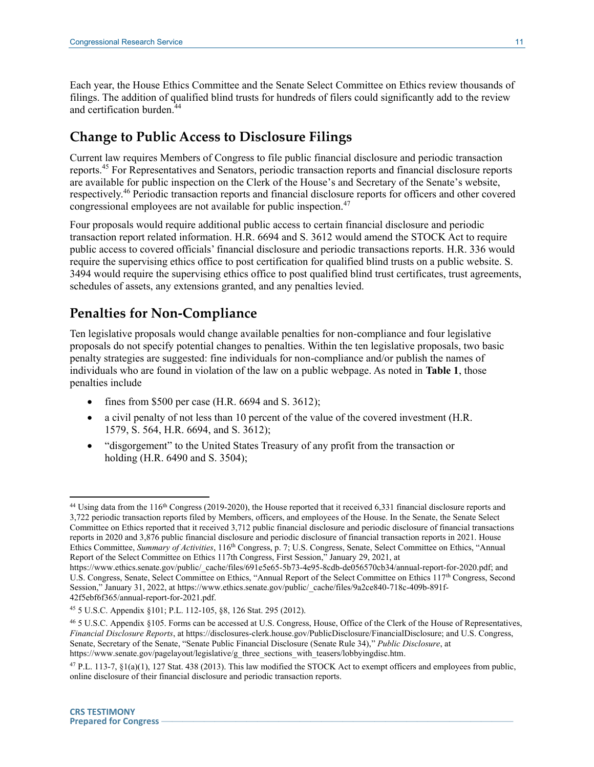Each year, the House Ethics Committee and the Senate Select Committee on Ethics review thousands of filings. The addition of qualified blind trusts for hundreds of filers could significantly add to the review and certification burden.<sup>44</sup>

#### **Change to Public Access to Disclosure Filings**

Current law requires Members of Congress to file public financial disclosure and periodic transaction reports.<sup>45</sup> For Representatives and Senators, periodic transaction reports and financial disclosure reports are available for public inspection on the Clerk of the House's and Secretary of the Senate's website, respectively.<sup>46</sup> Periodic transaction reports and financial disclosure reports for officers and other covered congressional employees are not available for public inspection.<sup>47</sup>

Four proposals would require additional public access to certain financial disclosure and periodic transaction report related information. H.R. 6694 and S. 3612 would amend the STOCK Act to require public access to covered officials' financial disclosure and periodic transactions reports. H.R. 336 would require the supervising ethics office to post certification for qualified blind trusts on a public website. S. 3494 would require the supervising ethics office to post qualified blind trust certificates, trust agreements, schedules of assets, any extensions granted, and any penalties levied.

#### **Penalties for Non-Compliance**

Ten legislative proposals would change available penalties for non-compliance and four legislative proposals do not specify potential changes to penalties. Within the ten legislative proposals, two basic penalty strategies are suggested: fine individuals for non-compliance and/or publish the names of individuals who are found in violation of the law on a public webpage. As noted in **[Table 1](#page-4-0)**, those penalties include

- fines from \$500 per case (H.R.  $6694$  and S.  $3612$ );
- a civil penalty of not less than 10 percent of the value of the covered investment (H.R. 1579, S. 564, H.R. 6694, and S. 3612);
- "disgorgement" to the United States Treasury of any profit from the transaction or holding (H.R. 6490 and S. 3504);

<sup>&</sup>lt;sup>44</sup> Using data from the 116<sup>th</sup> Congress (2019-2020), the House reported that it received 6,331 financial disclosure reports and 3,722 periodic transaction reports filed by Members, officers, and employees of the House. In the Senate, the Senate Select Committee on Ethics reported that it received 3,712 public financial disclosure and periodic disclosure of financial transactions reports in 2020 and 3,876 public financial disclosure and periodic disclosure of financial transaction reports in 2021. House Ethics Committee, *Summary of Activities*, 116<sup>th</sup> Congress, p. 7; U.S. Congress, Senate, Select Committee on Ethics, "Annual Report of the Select Committee on Ethics 117th Congress, First Session," January 29, 2021, at

https://www.ethics.senate.gov/public/\_cache/files/691e5e65-5b73-4e95-8cdb-de056570cb34/annual-report-for-2020.pdf; and U.S. Congress, Senate, Select Committee on Ethics, "Annual Report of the Select Committee on Ethics 117<sup>th</sup> Congress, Second Session," January 31, 2022, at https://www.ethics.senate.gov/public/\_cache/files/9a2ce840-718c-409b-891f-42f5ebf6f365/annual-report-for-2021.pdf.

<sup>45</sup> 5 U.S.C. Appendix §101; P.L. 112-105, §8, 126 Stat. 295 (2012).

<sup>46</sup> 5 U.S.C. Appendix §105. Forms can be accessed at U.S. Congress, House, Office of the Clerk of the House of Representatives, *Financial Disclosure Reports*, at https://disclosures-clerk.house.gov/PublicDisclosure/FinancialDisclosure; and U.S. Congress, Senate, Secretary of the Senate, "Senate Public Financial Disclosure (Senate Rule 34)," *Public Disclosure*, at https://www.senate.gov/pagelayout/legislative/g\_three\_sections\_with\_teasers/lobbyingdisc.htm.

<sup>47</sup> P.L. 113-7, §1(a)(1), 127 Stat. 438 (2013). This law modified the STOCK Act to exempt officers and employees from public, online disclosure of their financial disclosure and periodic transaction reports.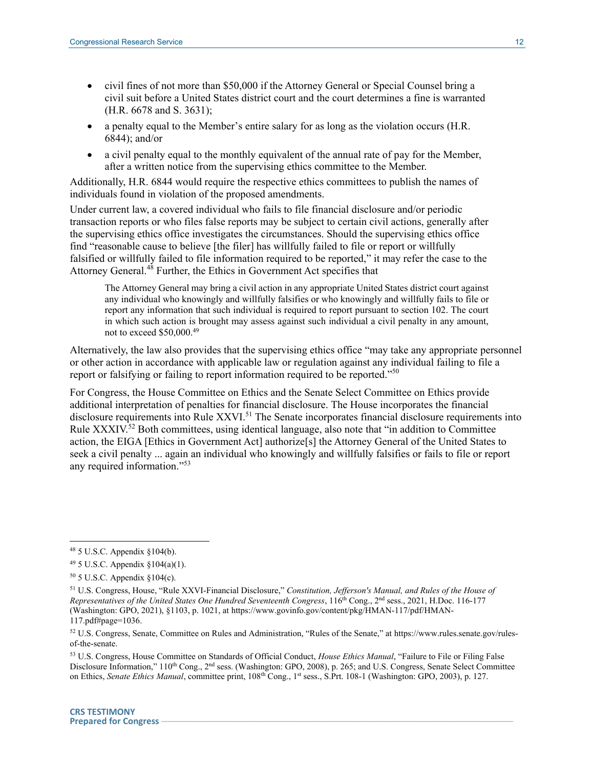- civil fines of not more than \$50,000 if the Attorney General or Special Counsel bring a civil suit before a United States district court and the court determines a fine is warranted (H.R. 6678 and S. 3631);
- a penalty equal to the Member's entire salary for as long as the violation occurs (H.R. 6844); and/or
- a civil penalty equal to the monthly equivalent of the annual rate of pay for the Member, after a written notice from the supervising ethics committee to the Member.

Additionally, H.R. 6844 would require the respective ethics committees to publish the names of individuals found in violation of the proposed amendments.

Under current law, a covered individual who fails to file financial disclosure and/or periodic transaction reports or who files false reports may be subject to certain civil actions, generally after the supervising ethics office investigates the circumstances. Should the supervising ethics office find "reasonable cause to believe [the filer] has willfully failed to file or report or willfully falsified or willfully failed to file information required to be reported," it may refer the case to the Attorney General.<sup>48</sup> Further, the Ethics in Government Act specifies that

The Attorney General may bring a civil action in any appropriate United States district court against any individual who knowingly and willfully falsifies or who knowingly and willfully fails to file or report any information that such individual is required to report pursuant to section 102. The court in which such action is brought may assess against such individual a civil penalty in any amount, not to exceed \$50,000.<sup>49</sup>

Alternatively, the law also provides that the supervising ethics office "may take any appropriate personnel or other action in accordance with applicable law or regulation against any individual failing to file a report or falsifying or failing to report information required to be reported."<sup>50</sup>

For Congress, the House Committee on Ethics and the Senate Select Committee on Ethics provide additional interpretation of penalties for financial disclosure. The House incorporates the financial disclosure requirements into Rule XXVI.<sup>51</sup> The Senate incorporates financial disclosure requirements into Rule XXXIV.<sup>52</sup> Both committees, using identical language, also note that "in addition to Committee" action, the EIGA [Ethics in Government Act] authorize[s] the Attorney General of the United States to seek a civil penalty ... again an individual who knowingly and willfully falsifies or fails to file or report any required information." 53

 $\overline{a}$ 

<sup>53</sup> U.S. Congress, House Committee on Standards of Official Conduct, *House Ethics Manual*, "Failure to File or Filing False Disclosure Information," 110<sup>th</sup> Cong., 2<sup>nd</sup> sess. (Washington: GPO, 2008), p. 265; and U.S. Congress, Senate Select Committee on Ethics, *Senate Ethics Manual*, committee print, 108th Cong., 1st sess., S.Prt. 108-1 (Washington: GPO, 2003), p. 127.

<sup>48</sup> 5 U.S.C. Appendix §104(b).

<sup>49</sup> 5 U.S.C. Appendix §104(a)(1).

 $50$  5 U.S.C. Appendix  $§104(c)$ .

<sup>51</sup> U.S. Congress, House, "Rule XXVI-Financial Disclosure," *Constitution, Jefferson's Manual, and Rules of the House of Representatives of the United States One Hundred Seventeenth Congress*, 116th Cong., 2nd sess., 2021, H.Doc. 116-177 (Washington: GPO, 2021), §1103, p. 1021, at https://www.govinfo.gov/content/pkg/HMAN-117/pdf/HMAN-117.pdf#page=1036.

<sup>52</sup> U.S. Congress, Senate, Committee on Rules and Administration, "Rules of the Senate," at https://www.rules.senate.gov/rulesof-the-senate.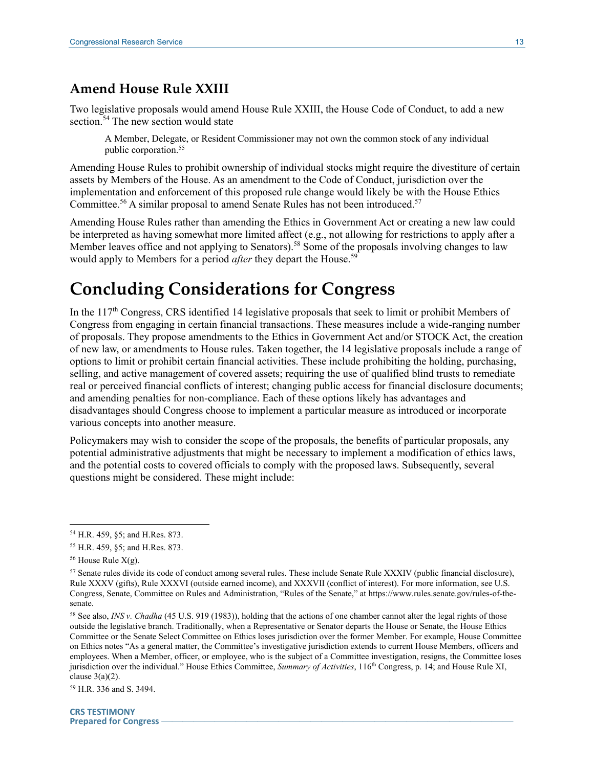#### **Amend House Rule XXIII**

Two legislative proposals would amend House Rule XXIII, the House Code of Conduct, to add a new section.<sup>54</sup> The new section would state

A Member, Delegate, or Resident Commissioner may not own the common stock of any individual public corporation.<sup>55</sup>

Amending House Rules to prohibit ownership of individual stocks might require the divestiture of certain assets by Members of the House. As an amendment to the Code of Conduct, jurisdiction over the implementation and enforcement of this proposed rule change would likely be with the House Ethics Committee.<sup>56</sup> A similar proposal to amend Senate Rules has not been introduced.<sup>57</sup>

Amending House Rules rather than amending the Ethics in Government Act or creating a new law could be interpreted as having somewhat more limited affect (e.g., not allowing for restrictions to apply after a Member leaves office and not applying to Senators).<sup>58</sup> Some of the proposals involving changes to law would apply to Members for a period *after* they depart the House.<sup>59</sup>

# **Concluding Considerations for Congress**

In the  $117<sup>th</sup>$  Congress, CRS identified 14 legislative proposals that seek to limit or prohibit Members of Congress from engaging in certain financial transactions. These measures include a wide-ranging number of proposals. They propose amendments to the Ethics in Government Act and/or STOCK Act, the creation of new law, or amendments to House rules. Taken together, the 14 legislative proposals include a range of options to limit or prohibit certain financial activities. These include prohibiting the holding, purchasing, selling, and active management of covered assets; requiring the use of qualified blind trusts to remediate real or perceived financial conflicts of interest; changing public access for financial disclosure documents; and amending penalties for non-compliance. Each of these options likely has advantages and disadvantages should Congress choose to implement a particular measure as introduced or incorporate various concepts into another measure.

Policymakers may wish to consider the scope of the proposals, the benefits of particular proposals, any potential administrative adjustments that might be necessary to implement a modification of ethics laws, and the potential costs to covered officials to comply with the proposed laws. Subsequently, several questions might be considered. These might include:

<sup>54</sup> H.R. 459, §5; and H.Res. 873.

<sup>55</sup> H.R. 459, §5; and H.Res. 873.

 $56$  House Rule  $X(g)$ .

<sup>57</sup> Senate rules divide its code of conduct among several rules. These include Senate Rule XXXIV (public financial disclosure), Rule XXXV (gifts), Rule XXXVI (outside earned income), and XXXVII (conflict of interest). For more information, see U.S. Congress, Senate, Committee on Rules and Administration, "Rules of the Senate," at https://www.rules.senate.gov/rules-of-thesenate.

<sup>58</sup> See also, *INS v. Chadha* (45 U.S. 919 (1983)), holding that the actions of one chamber cannot alter the legal rights of those outside the legislative branch. Traditionally, when a Representative or Senator departs the House or Senate, the House Ethics Committee or the Senate Select Committee on Ethics loses jurisdiction over the former Member. For example, House Committee on Ethics notes "As a general matter, the Committee's investigative jurisdiction extends to current House Members, officers and employees. When a Member, officer, or employee, who is the subject of a Committee investigation, resigns, the Committee loses jurisdiction over the individual." House Ethics Committee, *Summary of Activities*, 116<sup>th</sup> Congress, p. 14; and House Rule XI, clause  $3(a)(2)$ .

<sup>59</sup> H.R. 336 and S. 3494.